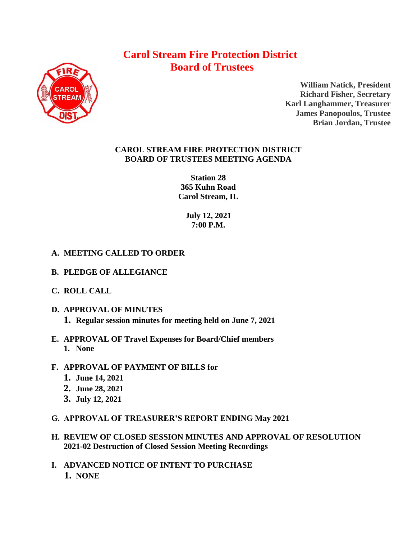# **Carol Stream Fire Protection District Board of Trustees**



**William Natick, President Richard Fisher, Secretary Karl Langhammer, Treasurer James Panopoulos, Trustee Brian Jordan, Trustee**

### **CAROL STREAM FIRE PROTECTION DISTRICT BOARD OF TRUSTEES MEETING AGENDA**

**Station 28 365 Kuhn Road Carol Stream, IL** 

> **July 12, 2021 7:00 P.M.**

## **A. MEETING CALLED TO ORDER**

- **B. PLEDGE OF ALLEGIANCE**
- **C. ROLL CALL**
- **D. APPROVAL OF MINUTES 1. Regular session minutes for meeting held on June 7, 2021**
- **E. APPROVAL OF Travel Expenses for Board/Chief members** 
	- **1. None**
- **F. APPROVAL OF PAYMENT OF BILLS for**
	- **1. June 14, 2021**
	- **2. June 28, 2021**
	- **3. July 12, 2021**
- **G. APPROVAL OF TREASURER'S REPORT ENDING May 2021**
- **H. REVIEW OF CLOSED SESSION MINUTES AND APPROVAL OF RESOLUTION 2021-02 Destruction of Closed Session Meeting Recordings**
- **I. ADVANCED NOTICE OF INTENT TO PURCHASE 1. NONE**